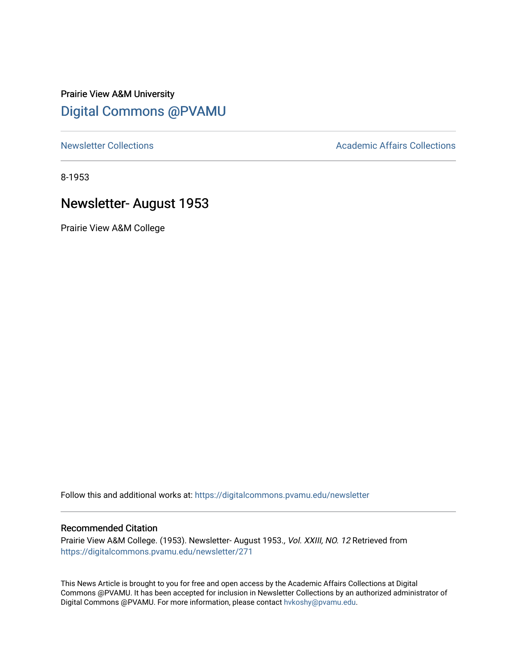# Prairie View A&M University [Digital Commons @PVAMU](https://digitalcommons.pvamu.edu/)

[Newsletter Collections](https://digitalcommons.pvamu.edu/newsletter) **Academic Affairs Collections Academic Affairs Collections** 

8-1953

# Newsletter- August 1953

Prairie View A&M College

Follow this and additional works at: [https://digitalcommons.pvamu.edu/newsletter](https://digitalcommons.pvamu.edu/newsletter?utm_source=digitalcommons.pvamu.edu%2Fnewsletter%2F271&utm_medium=PDF&utm_campaign=PDFCoverPages) 

# Recommended Citation

Prairie View A&M College. (1953). Newsletter- August 1953., Vol. XXIII, NO. 12 Retrieved from [https://digitalcommons.pvamu.edu/newsletter/271](https://digitalcommons.pvamu.edu/newsletter/271?utm_source=digitalcommons.pvamu.edu%2Fnewsletter%2F271&utm_medium=PDF&utm_campaign=PDFCoverPages) 

This News Article is brought to you for free and open access by the Academic Affairs Collections at Digital Commons @PVAMU. It has been accepted for inclusion in Newsletter Collections by an authorized administrator of Digital Commons @PVAMU. For more information, please contact [hvkoshy@pvamu.edu.](mailto:hvkoshy@pvamu.edu)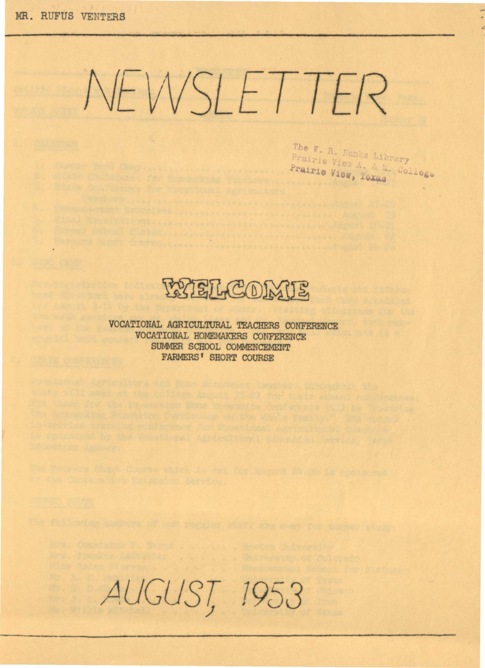# NEWSLETTER

The W. R. Banks Library Prairie View A. & M. College Prairie View, Toxas

**RYEL COMUS** 

VOCATIONAL AGRICULTURAL TEACHERS CONFERENCE VOCATIONAL HOMEMAKERS CONFERENCE SUMMER SCHOOL COMMENCEMENT **FARMERS' SHORT COURSE** 

provide professor, Classes - Anna Provide Providence Providence (August) St

to control consider control of the service in the control of the control of the service of the control of the

AUGUST, 1953